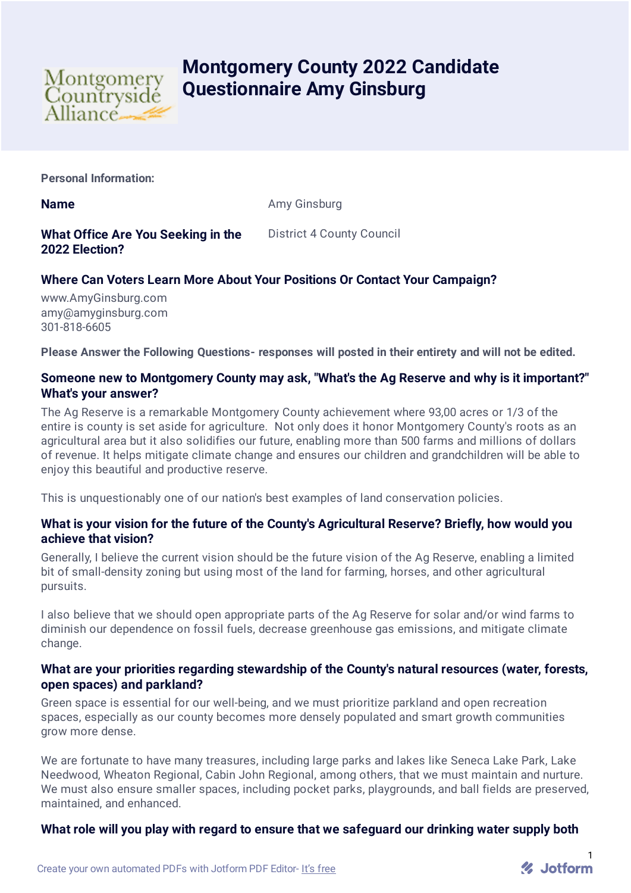

# **Montgomery County 2022 Candidate Questionnaire Amy Ginsburg**

**Personal Information:**

**Name** Amy Ginsburg

# **What Office Are You Seeking in the 2022 Election?**

District 4 County Council

# **Where Can Voters Learn More About Your Positions Or Contact Your Campaign?**

www.AmyGinsburg.com amy@amyginsburg.com 301-818-6605

**Please Answer the Following Questions- responses will posted in their entirety and will not be edited.**

## **Someone new to Montgomery County may ask, "What's the Ag Reserve and why is it important?" What's your answer?**

The Ag Reserve is a remarkable Montgomery County achievement where 93,00 acres or 1/3 of the entire is county is set aside for agriculture. Not only does it honor Montgomery County's roots as an agricultural area but it also solidifies our future, enabling more than 500 farms and millions of dollars of revenue. It helps mitigate climate change and ensures our children and grandchildren will be able to enjoy this beautiful and productive reserve.

This is unquestionably one of our nation's best examples of land conservation policies.

### **What is your vision for the future of the County's Agricultural Reserve? Briefly, how would you achieve that vision?**

Generally, I believe the current vision should be the future vision of the Ag Reserve, enabling a limited bit of small-density zoning but using most of the land for farming, horses, and other agricultural pursuits.

I also believe that we should open appropriate parts of the Ag Reserve for solar and/or wind farms to diminish our dependence on fossil fuels, decrease greenhouse gas emissions, and mitigate climate change.

#### **What are your priorities regarding stewardship of the County's natural resources (water, forests, open spaces) and parkland?**

Green space is essential for our well-being, and we must prioritize parkland and open recreation spaces, especially as our county becomes more densely populated and smart growth communities grow more dense.

We are fortunate to have many treasures, including large parks and lakes like Seneca Lake Park, Lake Needwood, Wheaton Regional, Cabin John Regional, among others, that we must maintain and nurture. We must also ensure smaller spaces, including pocket parks, playgrounds, and ball fields are preserved, maintained, and enhanced.

## **What role will you play with regard to ensure that we safeguard our drinking water supply both**

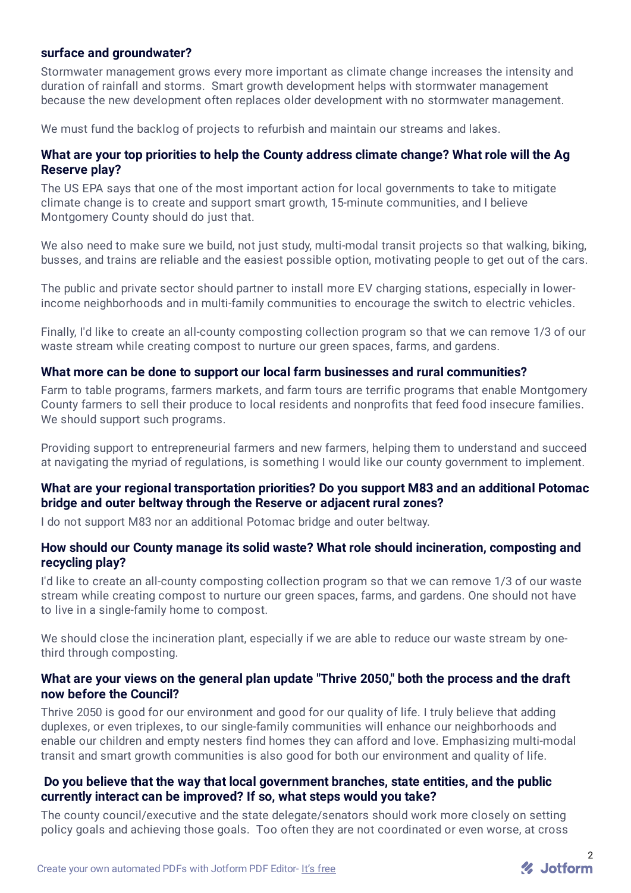### **surface and groundwater?**

Stormwater management grows every more important as climate change increases the intensity and duration of rainfall and storms. Smart growth development helps with stormwater management because the new development often replaces older development with no stormwater management.

We must fund the backlog of projects to refurbish and maintain our streams and lakes.

### **What are your top priorities to help the County address climate change? What role will the Ag Reserve play?**

The US EPA says that one of the most important action for local governments to take to mitigate climate change is to create and support smart growth, 15-minute communities, and I believe Montgomery County should do just that.

We also need to make sure we build, not just study, multi-modal transit projects so that walking, biking, busses, and trains are reliable and the easiest possible option, motivating people to get out of the cars.

The public and private sector should partner to install more EV charging stations, especially in lowerincome neighborhoods and in multi-family communities to encourage the switch to electric vehicles.

Finally, I'd like to create an all-county composting collection program so that we can remove 1/3 of our waste stream while creating compost to nurture our green spaces, farms, and gardens.

#### **What more can be done to support our local farm businesses and rural communities?**

Farm to table programs, farmers markets, and farm tours are terrific programs that enable Montgomery County farmers to sell their produce to local residents and nonprofits that feed food insecure families. We should support such programs.

Providing support to entrepreneurial farmers and new farmers, helping them to understand and succeed at navigating the myriad of regulations, is something I would like our county government to implement.

### **What are your regional transportation priorities? Do you support M83 and an additional Potomac bridge and outer beltway through the Reserve or adjacent rural zones?**

I do not support M83 nor an additional Potomac bridge and outer beltway.

#### **How should our County manage its solid waste? What role should incineration, composting and recycling play?**

I'd like to create an all-county composting collection program so that we can remove 1/3 of our waste stream while creating compost to nurture our green spaces, farms, and gardens. One should not have to live in a single-family home to compost.

We should close the incineration plant, especially if we are able to reduce our waste stream by onethird through composting.

### **What are your views on the general plan update "Thrive 2050," both the process and the draft now before the Council?**

Thrive 2050 is good for our environment and good for our quality of life. I truly believe that adding duplexes, or even triplexes, to our single-family communities will enhance our neighborhoods and enable our children and empty nesters find homes they can afford and love. Emphasizing multi-modal transit and smart growth communities is also good for both our environment and quality of life.

### **Do you believe that the way that local government branches, state entities, and the public currently interact can be improved? If so, what steps would you take?**

The county council/executive and the state delegate/senators should work more closely on setting policy goals and achieving those goals. Too often they are not coordinated or even worse, at cross